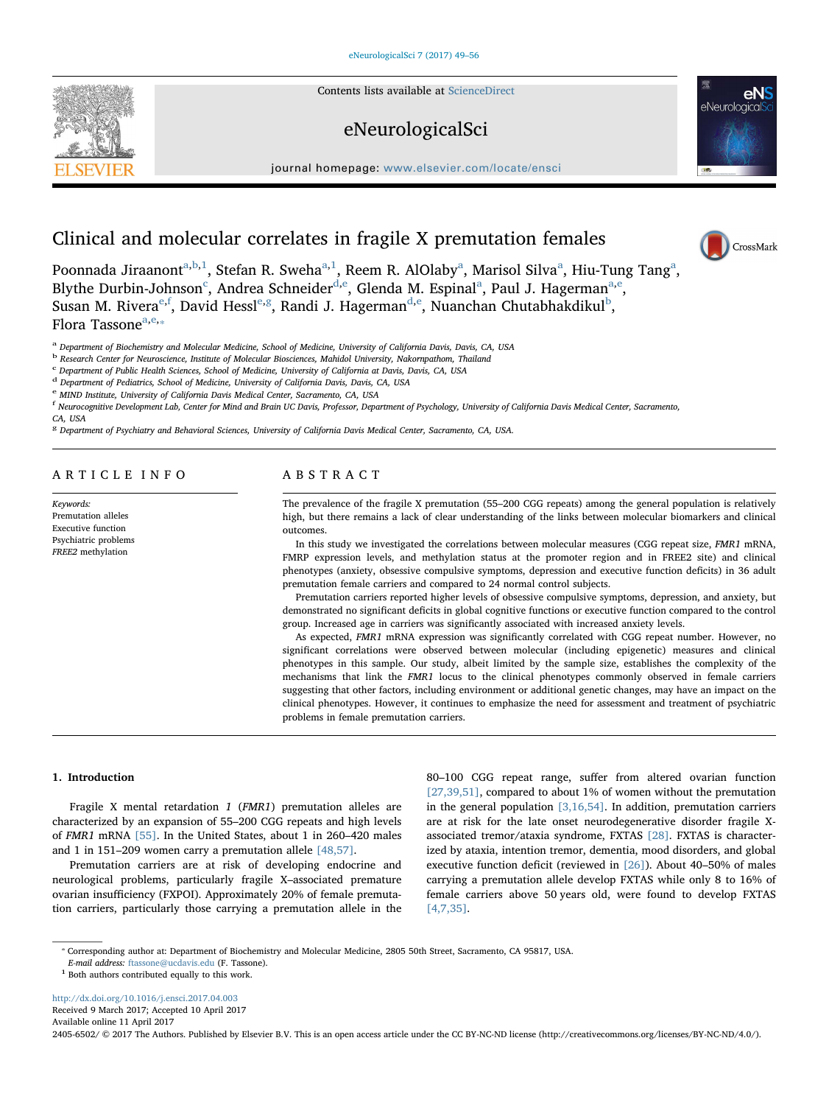Contents lists available at [ScienceDirect](http://www.sciencedirect.com/science/journal/24056502)

## eNeurologicalSci

journal homepage: [www.elsevier.com/locate/ensci](http://www.elsevier.com/locate/ensci)



# Clinical and molecular correlates in fragile X premutation females

Poonnada Jiraanont<sup>[a,](#page-0-0)[b](#page-0-1),[1](#page-0-2)</sup>, Stef[a](#page-0-0)n R. Sweha<sup>a,1</sup>, Reem R. AlOlaby<sup>a</sup>, Marisol Silva<sup>a</sup>, Hiu-Tung Tang<sup>a</sup>, Blythe Durbin-Johnson<sup>[c](#page-0-3)</sup>, Andrea Schneider<sup>[d,](#page-0-4)[e](#page-0-5)</sup>, Glend[a](#page-0-0) M. Espinal<sup>a</sup>, Paul J. Hagerman<sup>a,e</sup>, Susan M. Riv[e](#page-0-5)ra $\mathrm{^{e,f}}$  $\mathrm{^{e,f}}$  $\mathrm{^{e,f}}$ , Davi[d](#page-0-4) Hessl $\mathrm{^{e,g}}$  $\mathrm{^{e,g}}$  $\mathrm{^{e,g}}$  $\mathrm{^{e,g}}$ , Randi J. Hagerman $\mathrm{^{d,e}}$  $\mathrm{^{d,e}}$  $\mathrm{^{d,e}}$ , Nuanchan Chuta[b](#page-0-1)hakdikul $\mathrm{^{b}},$ Flor[a](#page-0-0) Tasson[e](#page-0-5) $a,e,*$ 

<span id="page-0-0"></span><sup>a</sup> Department of Biochemistry and Molecular Medicine, School of Medicine, University of California Davis, Davis, CA, USA

<span id="page-0-1"></span><sup>b</sup> Research Center for Neuroscience, Institute of Molecular Biosciences, Mahidol University, Nakornpathom, Thailand

<span id="page-0-3"></span><sup>c</sup> Department of Public Health Sciences, School of Medicine, University of California at Davis, Davis, CA, USA

<span id="page-0-4"></span><sup>d</sup> Department of Pediatrics, School of Medicine, University of California Davis, Davis, CA, USA

<span id="page-0-5"></span><sup>e</sup> MIND Institute, University of California Davis Medical Center, Sacramento, CA, USA

<span id="page-0-6"></span><sup>f</sup> Neurocognitive Development Lab, Center for Mind and Brain UC Davis, Professor, Department of Psychology, University of California Davis Medical Center, Sacramento, CA, USA

<span id="page-0-7"></span><sup>g</sup> Department of Psychiatry and Behavioral Sciences, University of California Davis Medical Center, Sacramento, CA, USA.

ARTICLE INFO

Keywords: Premutation alleles Executive function Psychiatric problems FREE2 methylation

### ABSTRACT

The prevalence of the fragile X premutation (55–200 CGG repeats) among the general population is relatively high, but there remains a lack of clear understanding of the links between molecular biomarkers and clinical outcomes.

In this study we investigated the correlations between molecular measures (CGG repeat size, FMR1 mRNA, FMRP expression levels, and methylation status at the promoter region and in FREE2 site) and clinical phenotypes (anxiety, obsessive compulsive symptoms, depression and executive function deficits) in 36 adult premutation female carriers and compared to 24 normal control subjects.

Premutation carriers reported higher levels of obsessive compulsive symptoms, depression, and anxiety, but demonstrated no significant deficits in global cognitive functions or executive function compared to the control group. Increased age in carriers was significantly associated with increased anxiety levels.

As expected, FMR1 mRNA expression was significantly correlated with CGG repeat number. However, no significant correlations were observed between molecular (including epigenetic) measures and clinical phenotypes in this sample. Our study, albeit limited by the sample size, establishes the complexity of the mechanisms that link the FMR1 locus to the clinical phenotypes commonly observed in female carriers suggesting that other factors, including environment or additional genetic changes, may have an impact on the clinical phenotypes. However, it continues to emphasize the need for assessment and treatment of psychiatric problems in female premutation carriers.

#### 1. Introduction

Fragile X mental retardation 1 (FMR1) premutation alleles are characterized by an expansion of 55–200 CGG repeats and high levels of FMR1 mRNA [\[55\].](#page-6-0) In the United States, about 1 in 260–420 males and 1 in 151–209 women carry a premutation allele [\[48,57\]](#page-6-1).

Premutation carriers are at risk of developing endocrine and neurological problems, particularly fragile X–associated premature ovarian insufficiency (FXPOI). Approximately 20% of female premutation carriers, particularly those carrying a premutation allele in the

80–100 CGG repeat range, suffer from altered ovarian function [\[27,39,51\],](#page-6-2) compared to about 1% of women without the premutation in the general population [\[3,16,54\].](#page-5-0) In addition, premutation carriers are at risk for the late onset neurodegenerative disorder fragile Xassociated tremor/ataxia syndrome, FXTAS [\[28\].](#page-6-3) FXTAS is characterized by ataxia, intention tremor, dementia, mood disorders, and global executive function deficit (reviewed in [\[26\]\)](#page-6-4). About 40–50% of males carrying a premutation allele develop FXTAS while only 8 to 16% of female carriers above 50 years old, were found to develop FXTAS [\[4,7,35\].](#page-5-1)

E-mail address: [ftassone@ucdavis.edu](mailto:ftassone@ucdavis.edu) (F. Tassone).

<http://dx.doi.org/10.1016/j.ensci.2017.04.003> Received 9 March 2017; Accepted 10 April 2017 Available online 11 April 2017

2405-6502/ © 2017 The Authors. Published by Elsevier B.V. This is an open access article under the CC BY-NC-ND license (http://creativecommons.org/licenses/BY-NC-ND/4.0/).





<span id="page-0-8"></span><sup>⁎</sup> Corresponding author at: Department of Biochemistry and Molecular Medicine, 2805 50th Street, Sacramento, CA 95817, USA.

<span id="page-0-2"></span> $^{\rm 1}$  Both authors contributed equally to this work.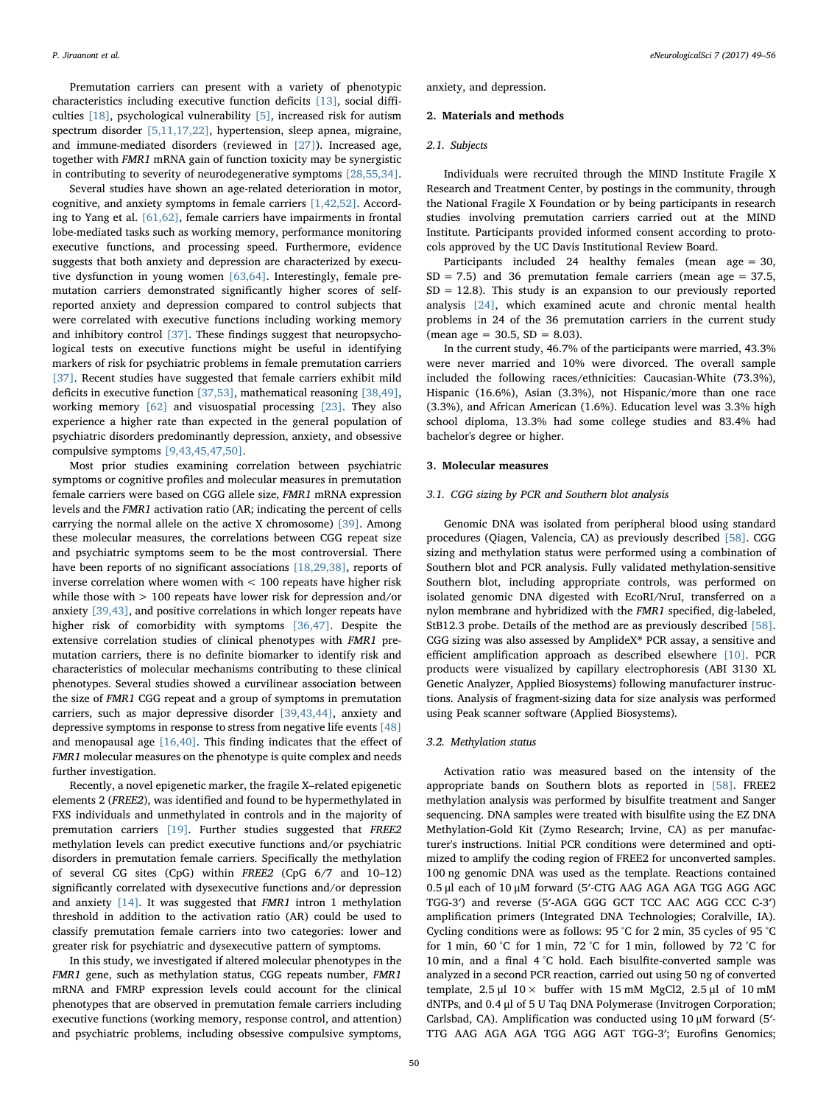Premutation carriers can present with a variety of phenotypic characteristics including executive function deficits [\[13\]](#page-6-5), social difficulties [\[18\]](#page-6-6), psychological vulnerability [\[5\],](#page-5-2) increased risk for autism spectrum disorder [\[5,11,17,22\],](#page-5-2) hypertension, sleep apnea, migraine, and immune-mediated disorders (reviewed in [\[27\]\)](#page-6-2). Increased age, together with FMR1 mRNA gain of function toxicity may be synergistic in contributing to severity of neurodegenerative symptoms [\[28,55,34\]](#page-6-3).

Several studies have shown an age-related deterioration in motor, cognitive, and anxiety symptoms in female carriers [\[1,42,52\]](#page-5-3). According to Yang et al. [\[61,62\],](#page-6-7) female carriers have impairments in frontal lobe-mediated tasks such as working memory, performance monitoring executive functions, and processing speed. Furthermore, evidence suggests that both anxiety and depression are characterized by executive dysfunction in young women [\[63,64\]](#page-7-0). Interestingly, female premutation carriers demonstrated significantly higher scores of selfreported anxiety and depression compared to control subjects that were correlated with executive functions including working memory and inhibitory control [\[37\].](#page-6-8) These findings suggest that neuropsychological tests on executive functions might be useful in identifying markers of risk for psychiatric problems in female premutation carriers [\[37\]](#page-6-8). Recent studies have suggested that female carriers exhibit mild deficits in executive function [\[37,53\]](#page-6-8), mathematical reasoning [\[38,49\]](#page-6-9), working memory [\[62\]](#page-7-1) and visuospatial processing [\[23\]](#page-6-10). They also experience a higher rate than expected in the general population of psychiatric disorders predominantly depression, anxiety, and obsessive compulsive symptoms [\[9,43,45,47,50\].](#page-5-4)

Most prior studies examining correlation between psychiatric symptoms or cognitive profiles and molecular measures in premutation female carriers were based on CGG allele size, FMR1 mRNA expression levels and the FMR1 activation ratio (AR; indicating the percent of cells carrying the normal allele on the active X chromosome) [\[39\]](#page-6-11). Among these molecular measures, the correlations between CGG repeat size and psychiatric symptoms seem to be the most controversial. There have been reports of no significant associations [\[18,29,38\],](#page-6-6) reports of inverse correlation where women with < 100 repeats have higher risk while those with > 100 repeats have lower risk for depression and/or anxiety [\[39,43\],](#page-6-11) and positive correlations in which longer repeats have higher risk of comorbidity with symptoms [\[36,47\]](#page-6-12). Despite the extensive correlation studies of clinical phenotypes with FMR1 premutation carriers, there is no definite biomarker to identify risk and characteristics of molecular mechanisms contributing to these clinical phenotypes. Several studies showed a curvilinear association between the size of FMR1 CGG repeat and a group of symptoms in premutation carriers, such as major depressive disorder [\[39,43,44\]](#page-6-11), anxiety and depressive symptoms in response to stress from negative life events [\[48\]](#page-6-1) and menopausal age [\[16,40\]](#page-6-13). This finding indicates that the effect of FMR1 molecular measures on the phenotype is quite complex and needs further investigation.

Recently, a novel epigenetic marker, the fragile X–related epigenetic elements 2 (FREE2), was identified and found to be hypermethylated in FXS individuals and unmethylated in controls and in the majority of premutation carriers [\[19\]](#page-6-14). Further studies suggested that FREE2 methylation levels can predict executive functions and/or psychiatric disorders in premutation female carriers. Specifically the methylation of several CG sites (CpG) within FREE2 (CpG 6/7 and 10–12) significantly correlated with dysexecutive functions and/or depression and anxiety [\[14\].](#page-6-15) It was suggested that FMR1 intron 1 methylation threshold in addition to the activation ratio (AR) could be used to classify premutation female carriers into two categories: lower and greater risk for psychiatric and dysexecutive pattern of symptoms.

In this study, we investigated if altered molecular phenotypes in the FMR1 gene, such as methylation status, CGG repeats number, FMR1 mRNA and FMRP expression levels could account for the clinical phenotypes that are observed in premutation female carriers including executive functions (working memory, response control, and attention) and psychiatric problems, including obsessive compulsive symptoms,

anxiety, and depression.

#### 2. Materials and methods

#### 2.1. Subjects

Individuals were recruited through the MIND Institute Fragile X Research and Treatment Center, by postings in the community, through the National Fragile X Foundation or by being participants in research studies involving premutation carriers carried out at the MIND Institute. Participants provided informed consent according to protocols approved by the UC Davis Institutional Review Board.

Participants included 24 healthy females (mean age = 30,  $SD = 7.5$ ) and 36 premutation female carriers (mean age = 37.5,  $SD = 12.8$ ). This study is an expansion to our previously reported analysis [\[24\],](#page-6-16) which examined acute and chronic mental health problems in 24 of the 36 premutation carriers in the current study  $(\text{mean age} = 30.5, SD = 8.03).$ 

In the current study, 46.7% of the participants were married, 43.3% were never married and 10% were divorced. The overall sample included the following races/ethnicities: Caucasian-White (73.3%), Hispanic (16.6%), Asian (3.3%), not Hispanic/more than one race (3.3%), and African American (1.6%). Education level was 3.3% high school diploma, 13.3% had some college studies and 83.4% had bachelor's degree or higher.

#### 3. Molecular measures

#### 3.1. CGG sizing by PCR and Southern blot analysis

Genomic DNA was isolated from peripheral blood using standard procedures (Qiagen, Valencia, CA) as previously described [\[58\]](#page-6-17). CGG sizing and methylation status were performed using a combination of Southern blot and PCR analysis. Fully validated methylation-sensitive Southern blot, including appropriate controls, was performed on isolated genomic DNA digested with EcoRI/NruI, transferred on a nylon membrane and hybridized with the FMR1 specified, dig-labeled, StB12.3 probe. Details of the method are as previously described [\[58\]](#page-6-17). CGG sizing was also assessed by AmplideX® PCR assay, a sensitive and efficient amplification approach as described elsewhere [\[10\].](#page-6-18) PCR products were visualized by capillary electrophoresis (ABI 3130 XL Genetic Analyzer, Applied Biosystems) following manufacturer instructions. Analysis of fragment-sizing data for size analysis was performed using Peak scanner software (Applied Biosystems).

#### 3.2. Methylation status

Activation ratio was measured based on the intensity of the appropriate bands on Southern blots as reported in [\[58\]](#page-6-17). FREE2 methylation analysis was performed by bisulfite treatment and Sanger sequencing. DNA samples were treated with bisulfite using the EZ DNA Methylation-Gold Kit (Zymo Research; Irvine, CA) as per manufacturer's instructions. Initial PCR conditions were determined and optimized to amplify the coding region of FREE2 for unconverted samples. 100 ng genomic DNA was used as the template. Reactions contained 0.5 μl each of 10 μM forward (5′-CTG AAG AGA AGA TGG AGG AGC TGG-3′) and reverse (5′-AGA GGG GCT TCC AAC AGG CCC C-3′) amplification primers (Integrated DNA Technologies; Coralville, IA). Cycling conditions were as follows: 95 °C for 2 min, 35 cycles of 95 °C for 1 min, 60 °C for 1 min, 72 °C for 1 min, followed by 72 °C for 10 min, and a final 4 °C hold. Each bisulfite-converted sample was analyzed in a second PCR reaction, carried out using 50 ng of converted template,  $2.5 \text{ µl}$   $10 \times$  buffer with 15 mM MgCl2,  $2.5 \text{ µl}$  of 10 mM dNTPs, and 0.4 μl of 5 U Taq DNA Polymerase (Invitrogen Corporation; Carlsbad, CA). Amplification was conducted using 10 μM forward (5′- TTG AAG AGA AGA TGG AGG AGT TGG-3′; Eurofins Genomics;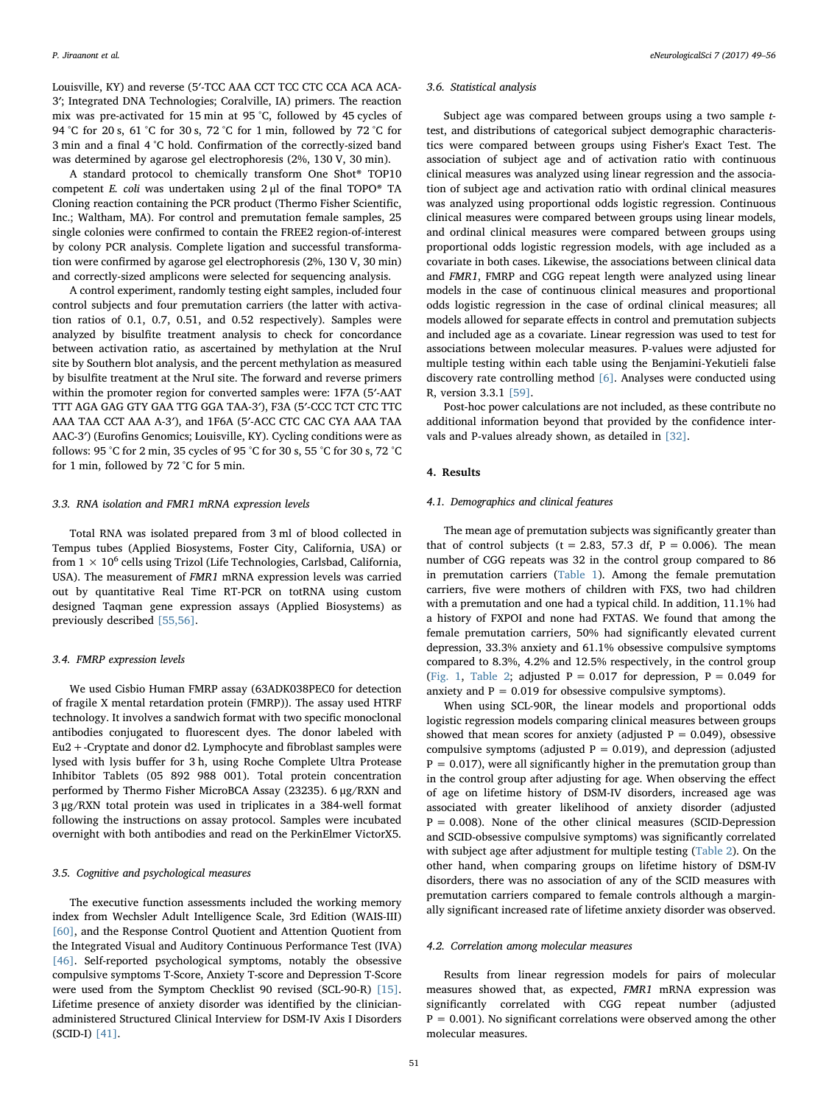Louisville, KY) and reverse (5′-TCC AAA CCT TCC CTC CCA ACA ACA-3′; Integrated DNA Technologies; Coralville, IA) primers. The reaction mix was pre-activated for 15 min at 95 °C, followed by 45 cycles of 94 °C for 20 s, 61 °C for 30 s, 72 °C for 1 min, followed by 72 °C for 3 min and a final 4 °C hold. Confirmation of the correctly-sized band was determined by agarose gel electrophoresis (2%, 130 V, 30 min).

A standard protocol to chemically transform One Shot® TOP10 competent E. coli was undertaken using 2 μl of the final TOPO® TA Cloning reaction containing the PCR product (Thermo Fisher Scientific, Inc.; Waltham, MA). For control and premutation female samples, 25 single colonies were confirmed to contain the FREE2 region-of-interest by colony PCR analysis. Complete ligation and successful transformation were confirmed by agarose gel electrophoresis (2%, 130 V, 30 min) and correctly-sized amplicons were selected for sequencing analysis.

A control experiment, randomly testing eight samples, included four control subjects and four premutation carriers (the latter with activation ratios of 0.1, 0.7, 0.51, and 0.52 respectively). Samples were analyzed by bisulfite treatment analysis to check for concordance between activation ratio, as ascertained by methylation at the NruI site by Southern blot analysis, and the percent methylation as measured by bisulfite treatment at the NruI site. The forward and reverse primers within the promoter region for converted samples were: 1F7A (5′-AAT TTT AGA GAG GTY GAA TTG GGA TAA-3′), F3A (5′-CCC TCT CTC TTC AAA TAA CCT AAA A-3′), and 1F6A (5′-ACC CTC CAC CYA AAA TAA AAC-3′) (Eurofins Genomics; Louisville, KY). Cycling conditions were as follows: 95 °C for 2 min, 35 cycles of 95 °C for 30 s, 55 °C for 30 s, 72 °C for 1 min, followed by 72 °C for 5 min.

#### 3.3. RNA isolation and FMR1 mRNA expression levels

Total RNA was isolated prepared from 3 ml of blood collected in Tempus tubes (Applied Biosystems, Foster City, California, USA) or from  $1 \times 10^6$  cells using Trizol (Life Technologies, Carlsbad, California, USA). The measurement of FMR1 mRNA expression levels was carried out by quantitative Real Time RT-PCR on totRNA using custom designed Taqman gene expression assays (Applied Biosystems) as previously described [\[55,56\]](#page-6-0).

#### 3.4. FMRP expression levels

We used Cisbio Human FMRP assay (63ADK038PEC0 for detection of fragile X mental retardation protein (FMRP)). The assay used HTRF technology. It involves a sandwich format with two specific monoclonal antibodies conjugated to fluorescent dyes. The donor labeled with Eu2+-Cryptate and donor d2. Lymphocyte and fibroblast samples were lysed with lysis buffer for 3 h, using Roche Complete Ultra Protease Inhibitor Tablets (05 892 988 001). Total protein concentration performed by Thermo Fisher MicroBCA Assay (23235). 6 μg/RXN and 3 μg/RXN total protein was used in triplicates in a 384-well format following the instructions on assay protocol. Samples were incubated overnight with both antibodies and read on the PerkinElmer VictorX5.

#### 3.5. Cognitive and psychological measures

The executive function assessments included the working memory index from Wechsler Adult Intelligence Scale, 3rd Edition (WAIS-III) [\[60\]](#page-6-19), and the Response Control Quotient and Attention Quotient from the Integrated Visual and Auditory Continuous Performance Test (IVA) [\[46\]](#page-6-20). Self-reported psychological symptoms, notably the obsessive compulsive symptoms T-Score, Anxiety T-score and Depression T-Score were used from the Symptom Checklist 90 revised (SCL-90-R) [\[15\]](#page-6-21). Lifetime presence of anxiety disorder was identified by the clinicianadministered Structured Clinical Interview for DSM-IV Axis I Disorders (SCID-I) [\[41\]](#page-6-22).

#### 3.6. Statistical analysis

Subject age was compared between groups using a two sample ttest, and distributions of categorical subject demographic characteristics were compared between groups using Fisher's Exact Test. The association of subject age and of activation ratio with continuous clinical measures was analyzed using linear regression and the association of subject age and activation ratio with ordinal clinical measures was analyzed using proportional odds logistic regression. Continuous clinical measures were compared between groups using linear models, and ordinal clinical measures were compared between groups using proportional odds logistic regression models, with age included as a covariate in both cases. Likewise, the associations between clinical data and FMR1, FMRP and CGG repeat length were analyzed using linear models in the case of continuous clinical measures and proportional odds logistic regression in the case of ordinal clinical measures; all models allowed for separate effects in control and premutation subjects and included age as a covariate. Linear regression was used to test for associations between molecular measures. P-values were adjusted for multiple testing within each table using the Benjamini-Yekutieli false discovery rate controlling method [\[6\]](#page-5-5). Analyses were conducted using R, version 3.3.1 [\[59\]](#page-6-23).

Post-hoc power calculations are not included, as these contribute no additional information beyond that provided by the confidence intervals and P-values already shown, as detailed in [\[32\].](#page-6-24)

#### 4. Results

#### 4.1. Demographics and clinical features

The mean age of premutation subjects was significantly greater than that of control subjects ( $t = 2.83$ , 57.3 df,  $P = 0.006$ ). The mean number of CGG repeats was 32 in the control group compared to 86 in premutation carriers ([Table 1\)](#page-3-0). Among the female premutation carriers, five were mothers of children with FXS, two had children with a premutation and one had a typical child. In addition, 11.1% had a history of FXPOI and none had FXTAS. We found that among the female premutation carriers, 50% had significantly elevated current depression, 33.3% anxiety and 61.1% obsessive compulsive symptoms compared to 8.3%, 4.2% and 12.5% respectively, in the control group ([Fig. 1,](#page-3-1) [Table 2](#page-4-0); adjusted  $P = 0.017$  for depression,  $P = 0.049$  for anxiety and  $P = 0.019$  for obsessive compulsive symptoms).

When using SCL-90R, the linear models and proportional odds logistic regression models comparing clinical measures between groups showed that mean scores for anxiety (adjusted  $P = 0.049$ ), obsessive compulsive symptoms (adjusted  $P = 0.019$ ), and depression (adjusted  $P = 0.017$ , were all significantly higher in the premutation group than in the control group after adjusting for age. When observing the effect of age on lifetime history of DSM-IV disorders, increased age was associated with greater likelihood of anxiety disorder (adjusted  $P = 0.008$ ). None of the other clinical measures (SCID-Depression and SCID-obsessive compulsive symptoms) was significantly correlated with subject age after adjustment for multiple testing ([Table 2](#page-4-0)). On the other hand, when comparing groups on lifetime history of DSM-IV disorders, there was no association of any of the SCID measures with premutation carriers compared to female controls although a marginally significant increased rate of lifetime anxiety disorder was observed.

#### 4.2. Correlation among molecular measures

Results from linear regression models for pairs of molecular measures showed that, as expected, FMR1 mRNA expression was significantly correlated with CGG repeat number (adjusted  $P = 0.001$ ). No significant correlations were observed among the other molecular measures.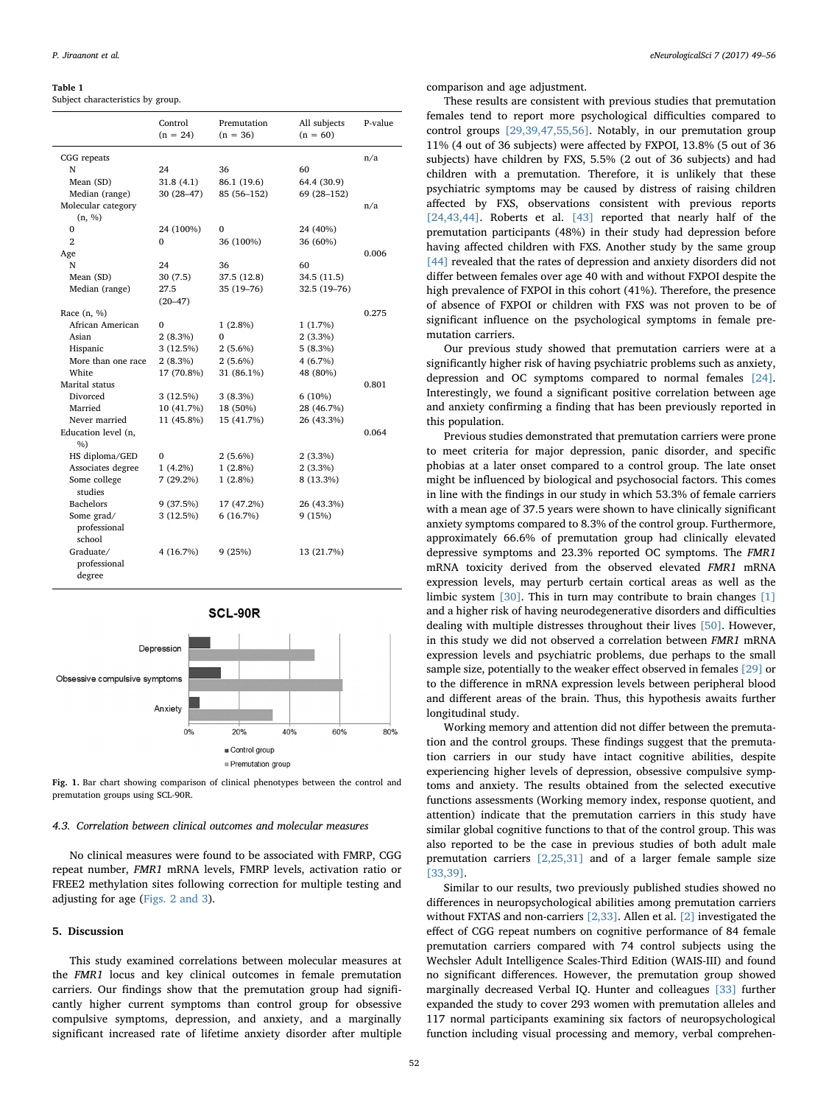#### <span id="page-3-0"></span>Table 1

Subject characteristics by group.

|                                      | Control<br>$(n = 24)$ | Premutation<br>$(n = 36)$ | All subjects<br>$(n = 60)$ | P-value |
|--------------------------------------|-----------------------|---------------------------|----------------------------|---------|
| CGG repeats                          |                       |                           |                            | n/a     |
| N                                    | 24                    | 36                        | 60                         |         |
| Mean (SD)                            | 31.8(4.1)             | 86.1 (19.6)               | 64.4 (30.9)                |         |
| Median (range)                       | $30(28-47)$           | 85 (56-152)               | 69 (28-152)                |         |
| Molecular category                   |                       |                           |                            | n/a     |
| (n, %)                               |                       |                           |                            |         |
| $\mathbf{0}$                         | 24 (100%)             | $\Omega$                  | 24 (40%)                   |         |
| $\overline{2}$                       | 0                     | 36 (100%)                 | 36 (60%)                   |         |
| Age                                  |                       |                           |                            | 0.006   |
| N                                    | 24                    | 36                        | 60                         |         |
| Mean (SD)                            | 30(7.5)               | 37.5 (12.8)               | 34.5 (11.5)                |         |
| Median (range)                       | 27.5                  | $35(19 - 76)$             | 32.5 (19-76)               |         |
|                                      | $(20 - 47)$           |                           |                            |         |
| Race $(n, %)$                        |                       |                           |                            | 0.275   |
| African American                     | $\Omega$              | $1(2.8\%)$                | 1(1.7%)                    |         |
| Asian                                | 2(8.3%)               | $\Omega$                  | $2(3.3\%)$                 |         |
| Hispanic                             | 3(12.5%)              | $2(5.6\%)$                | 5(8.3%)                    |         |
| More than one race                   | 2(8.3%)               | $2(5.6\%)$                | 4(6.7%)                    |         |
| White                                | 17 (70.8%)            | 31 (86.1%)                | 48 (80%)                   |         |
| Marital status                       |                       |                           |                            | 0.801   |
| Divorced                             | 3(12.5%)              | $3(8.3\%)$                | 6(10%)                     |         |
| Married                              | 10 (41.7%)            | 18 (50%)                  | 28 (46.7%)                 |         |
| Never married                        | 11 (45.8%)            | 15 (41.7%)                | 26 (43.3%)                 |         |
| Education level (n,                  |                       |                           |                            | 0.064   |
| $\%$                                 |                       |                           |                            |         |
| HS diploma/GED                       | 0                     | $2(5.6\%)$                | $2(3.3\%)$                 |         |
| Associates degree                    | $1(4.2\%)$            | $1(2.8\%)$                | $2(3.3\%)$                 |         |
| Some college<br>studies              | $7(29.2\%)$           | $1(2.8\%)$                | 8 (13.3%)                  |         |
| <b>Bachelors</b>                     | 9(37.5%)              | 17 (47.2%)                | 26 (43.3%)                 |         |
| Some grad/<br>professional<br>school | 3 (12.5%)             | 6(16.7%)                  | 9(15%)                     |         |
| Graduate/<br>professional<br>degree  | 4 (16.7%)             | 9(25%)                    | 13 (21.7%)                 |         |



<span id="page-3-1"></span>

Fig. 1. Bar chart showing comparison of clinical phenotypes between the control and premutation groups using SCL-90R.

#### 4.3. Correlation between clinical outcomes and molecular measures

No clinical measures were found to be associated with FMRP, CGG repeat number, FMR1 mRNA levels, FMRP levels, activation ratio or FREE2 methylation sites following correction for multiple testing and adjusting for age [\(Figs. 2 and 3](#page-4-1)).

#### 5. Discussion

This study examined correlations between molecular measures at the FMR1 locus and key clinical outcomes in female premutation carriers. Our findings show that the premutation group had significantly higher current symptoms than control group for obsessive compulsive symptoms, depression, and anxiety, and a marginally significant increased rate of lifetime anxiety disorder after multiple comparison and age adjustment.

These results are consistent with previous studies that premutation females tend to report more psychological difficulties compared to control groups [\[29,39,47,55,56\]](#page-6-25). Notably, in our premutation group 11% (4 out of 36 subjects) were affected by FXPOI, 13.8% (5 out of 36 subjects) have children by FXS, 5.5% (2 out of 36 subjects) and had children with a premutation. Therefore, it is unlikely that these psychiatric symptoms may be caused by distress of raising children affected by FXS, observations consistent with previous reports [\[24,43,44\].](#page-6-16) Roberts et al. [\[43\]](#page-6-26) reported that nearly half of the premutation participants (48%) in their study had depression before having affected children with FXS. Another study by the same group [\[44\]](#page-6-27) revealed that the rates of depression and anxiety disorders did not differ between females over age 40 with and without FXPOI despite the high prevalence of FXPOI in this cohort (41%). Therefore, the presence of absence of FXPOI or children with FXS was not proven to be of significant influence on the psychological symptoms in female premutation carriers.

Our previous study showed that premutation carriers were at a significantly higher risk of having psychiatric problems such as anxiety, depression and OC symptoms compared to normal females [\[24\]](#page-6-16). Interestingly, we found a significant positive correlation between age and anxiety confirming a finding that has been previously reported in this population.

Previous studies demonstrated that premutation carriers were prone to meet criteria for major depression, panic disorder, and specific phobias at a later onset compared to a control group. The late onset might be influenced by biological and psychosocial factors. This comes in line with the findings in our study in which 53.3% of female carriers with a mean age of 37.5 years were shown to have clinically significant anxiety symptoms compared to 8.3% of the control group. Furthermore, approximately 66.6% of premutation group had clinically elevated depressive symptoms and 23.3% reported OC symptoms. The FMR1 mRNA toxicity derived from the observed elevated FMR1 mRNA expression levels, may perturb certain cortical areas as well as the limbic system [\[30\].](#page-6-28) This in turn may contribute to brain changes [\[1\]](#page-5-3) and a higher risk of having neurodegenerative disorders and difficulties dealing with multiple distresses throughout their lives [\[50\].](#page-6-29) However, in this study we did not observed a correlation between FMR1 mRNA expression levels and psychiatric problems, due perhaps to the small sample size, potentially to the weaker effect observed in females [\[29\]](#page-6-25) or to the difference in mRNA expression levels between peripheral blood and different areas of the brain. Thus, this hypothesis awaits further longitudinal study.

Working memory and attention did not differ between the premutation and the control groups. These findings suggest that the premutation carriers in our study have intact cognitive abilities, despite experiencing higher levels of depression, obsessive compulsive symptoms and anxiety. The results obtained from the selected executive functions assessments (Working memory index, response quotient, and attention) indicate that the premutation carriers in this study have similar global cognitive functions to that of the control group. This was also reported to be the case in previous studies of both adult male premutation carriers [\[2,25,31\]](#page-5-6) and of a larger female sample size [\[33,39\].](#page-6-30)

Similar to our results, two previously published studies showed no differences in neuropsychological abilities among premutation carriers without FXTAS and non-carriers [\[2,33\]](#page-5-6). Allen et al. [\[2\]](#page-5-6) investigated the effect of CGG repeat numbers on cognitive performance of 84 female premutation carriers compared with 74 control subjects using the Wechsler Adult Intelligence Scales-Third Edition (WAIS-III) and found no significant differences. However, the premutation group showed marginally decreased Verbal IQ. Hunter and colleagues [\[33\]](#page-6-30) further expanded the study to cover 293 women with premutation alleles and 117 normal participants examining six factors of neuropsychological function including visual processing and memory, verbal comprehen-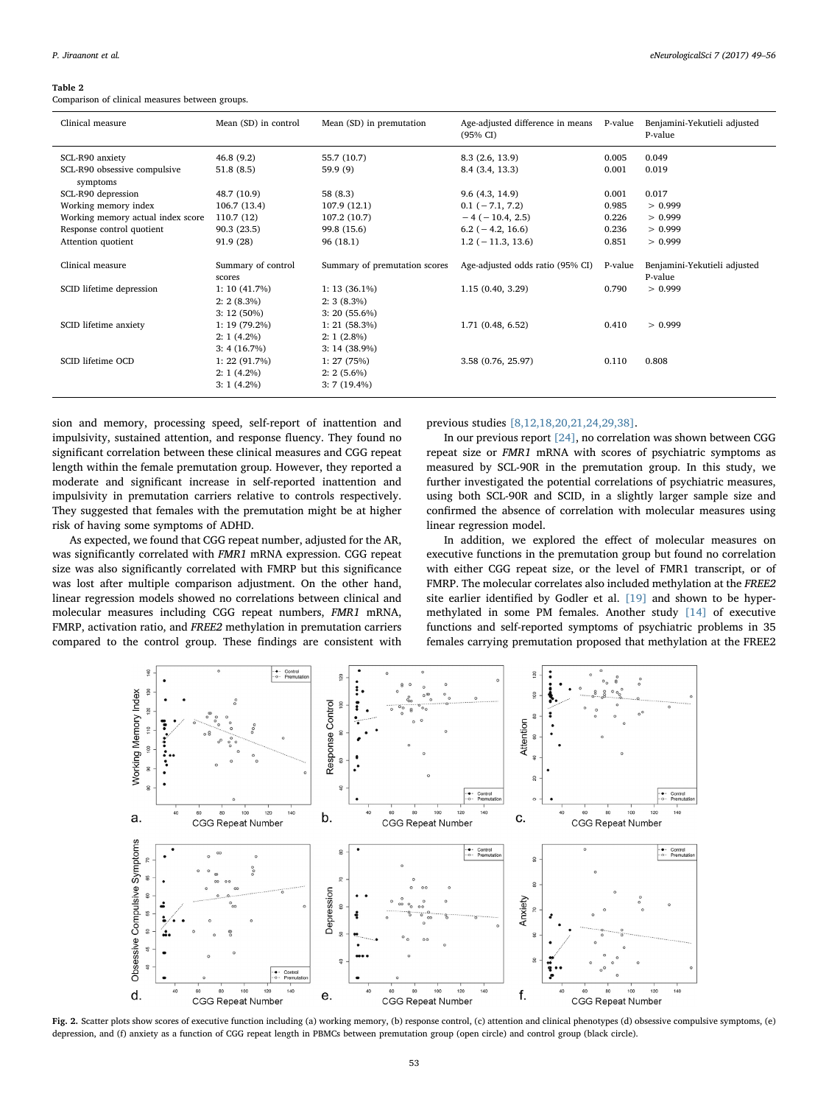#### <span id="page-4-0"></span>Table 2

Comparison of clinical measures between groups.

| Mean (SD) in control            | Mean (SD) in premutation                    | Age-adjusted difference in means<br>$(95\% \text{ CI})$ | P-value | Benjamini-Yekutieli adjusted<br>P-value |
|---------------------------------|---------------------------------------------|---------------------------------------------------------|---------|-----------------------------------------|
| 46.8(9.2)                       | 55.7 (10.7)                                 | 8.3 (2.6, 13.9)                                         | 0.005   | 0.049                                   |
| 51.8(8.5)                       | 59.9(9)                                     | 8.4 (3.4, 13.3)                                         | 0.001   | 0.019                                   |
| 48.7 (10.9)                     | 58 (8.3)                                    | 9.6(4.3, 14.9)                                          | 0.001   | 0.017                                   |
| 106.7(13.4)                     | 107.9 (12.1)                                | $0.1 (-7.1, 7.2)$                                       | 0.985   | > 0.999                                 |
| 110.7(12)                       | 107.2 (10.7)                                | $-4$ ( $-10.4$ , 2.5)                                   | 0.226   | > 0.999                                 |
| 90.3(23.5)                      | 99.8 (15.6)                                 | $6.2$ ( $-4.2$ , 16.6)                                  | 0.236   | > 0.999                                 |
| 91.9(28)                        | 96(18.1)                                    | $1.2$ ( $-11.3$ , 13.6)                                 | 0.851   | > 0.999                                 |
| Summary of control<br>scores    | Summary of premutation scores               | Age-adjusted odds ratio (95% CI)                        | P-value | Benjamini-Yekutieli adjusted<br>P-value |
| 1: 10(41.7%)<br>$2: 2(8.3\%)$   | $1: 13(36.1\%)$<br>$2:3(8.3\%)$             | 1.15(0.40, 3.29)                                        | 0.790   | > 0.999                                 |
| $1: 19(79.2\%)$<br>$2:1(4.2\%)$ | 1: 21(58.3%)<br>$2:1(2.8\%)$                | 1.71 (0.48, 6.52)                                       | 0.410   | > 0.999                                 |
| 1: 22(91.7%)<br>$2:1(4.2\%)$    | 1: 27(75%)<br>$2: 2(5.6\%)$                 | 3.58 (0.76, 25.97)                                      | 0.110   | 0.808                                   |
|                                 | $3:12(50\%)$<br>3: 4(16.7%)<br>$3:1(4.2\%)$ | $3: 20(55.6\%)$<br>$3: 14(38.9\%)$<br>$3:7(19.4\%)$     |         |                                         |

sion and memory, processing speed, self-report of inattention and impulsivity, sustained attention, and response fluency. They found no significant correlation between these clinical measures and CGG repeat length within the female premutation group. However, they reported a moderate and significant increase in self-reported inattention and impulsivity in premutation carriers relative to controls respectively. They suggested that females with the premutation might be at higher risk of having some symptoms of ADHD.

As expected, we found that CGG repeat number, adjusted for the AR, was significantly correlated with FMR1 mRNA expression. CGG repeat size was also significantly correlated with FMRP but this significance was lost after multiple comparison adjustment. On the other hand, linear regression models showed no correlations between clinical and molecular measures including CGG repeat numbers, FMR1 mRNA, FMRP, activation ratio, and FREE2 methylation in premutation carriers compared to the control group. These findings are consistent with

previous studies [\[8,12,18,20,21,24,29,38\]](#page-5-7).

In our previous report [\[24\],](#page-6-16) no correlation was shown between CGG repeat size or FMR1 mRNA with scores of psychiatric symptoms as measured by SCL-90R in the premutation group. In this study, we further investigated the potential correlations of psychiatric measures, using both SCL-90R and SCID, in a slightly larger sample size and confirmed the absence of correlation with molecular measures using linear regression model.

In addition, we explored the effect of molecular measures on executive functions in the premutation group but found no correlation with either CGG repeat size, or the level of FMR1 transcript, or of FMRP. The molecular correlates also included methylation at the FREE2 site earlier identified by Godler et al. [\[19\]](#page-6-14) and shown to be hypermethylated in some PM females. Another study [\[14\]](#page-6-15) of executive functions and self-reported symptoms of psychiatric problems in 35 females carrying premutation proposed that methylation at the FREE2

<span id="page-4-1"></span>

Fig. 2. Scatter plots show scores of executive function including (a) working memory, (b) response control, (c) attention and clinical phenotypes (d) obsessive compulsive symptoms, (e) depression, and (f) anxiety as a function of CGG repeat length in PBMCs between premutation group (open circle) and control group (black circle).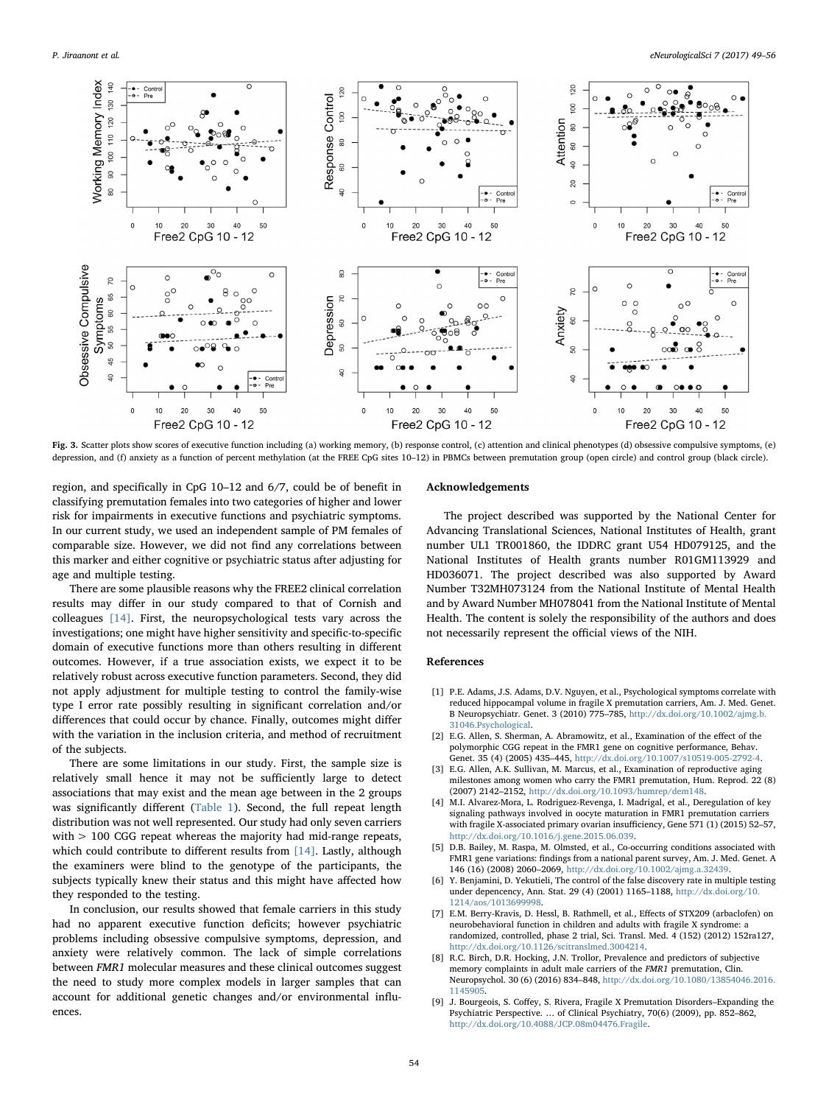

Fig. 3. Scatter plots show scores of executive function including (a) working memory, (b) response control, (c) attention and clinical phenotypes (d) obsessive compulsive symptoms, (e) depression, and (f) anxiety as a function of percent methylation (at the FREE CpG sites 10–12) in PBMCs between premutation group (open circle) and control group (black circle).

region, and specifically in CpG 10–12 and 6/7, could be of benefit in classifying premutation females into two categories of higher and lower risk for impairments in executive functions and psychiatric symptoms. In our current study, we used an independent sample of PM females of comparable size. However, we did not find any correlations between this marker and either cognitive or psychiatric status after adjusting for age and multiple testing.

There are some plausible reasons why the FREE2 clinical correlation results may differ in our study compared to that of Cornish and colleagues [\[14\]](#page-6-15). First, the neuropsychological tests vary across the investigations; one might have higher sensitivity and specific-to-specific domain of executive functions more than others resulting in different outcomes. However, if a true association exists, we expect it to be relatively robust across executive function parameters. Second, they did not apply adjustment for multiple testing to control the family-wise type I error rate possibly resulting in significant correlation and/or differences that could occur by chance. Finally, outcomes might differ with the variation in the inclusion criteria, and method of recruitment of the subjects.

There are some limitations in our study. First, the sample size is relatively small hence it may not be sufficiently large to detect associations that may exist and the mean age between in the 2 groups was significantly different ([Table 1](#page-3-0)). Second, the full repeat length distribution was not well represented. Our study had only seven carriers with > 100 CGG repeat whereas the majority had mid-range repeats, which could contribute to different results from [\[14\].](#page-6-15) Lastly, although the examiners were blind to the genotype of the participants, the subjects typically knew their status and this might have affected how they responded to the testing.

In conclusion, our results showed that female carriers in this study had no apparent executive function deficits; however psychiatric problems including obsessive compulsive symptoms, depression, and anxiety were relatively common. The lack of simple correlations between FMR1 molecular measures and these clinical outcomes suggest the need to study more complex models in larger samples that can account for additional genetic changes and/or environmental influences.

#### Acknowledgements

The project described was supported by the National Center for Advancing Translational Sciences, National Institutes of Health, grant number UL1 TR001860, the IDDRC grant U54 HD079125, and the National Institutes of Health grants number R01GM113929 and HD036071. The project described was also supported by Award Number T32MH073124 from the National Institute of Mental Health and by Award Number MH078041 from the National Institute of Mental Health. The content is solely the responsibility of the authors and does not necessarily represent the official views of the NIH.

#### References

- <span id="page-5-3"></span>[1] P.E. Adams, J.S. Adams, D.V. Nguyen, et al., Psychological symptoms correlate with reduced hippocampal volume in fragile X premutation carriers, Am. J. Med. Genet. B Neuropsychiatr. Genet. 3 (2010) 775–785, [http://dx.doi.org/10.1002/ajmg.b.](http://dx.doi.org/10.1002/ajmg.b.31046.Psychological) [31046.Psychological.](http://dx.doi.org/10.1002/ajmg.b.31046.Psychological)
- <span id="page-5-6"></span>[2] E.G. Allen, S. Sherman, A. Abramowitz, et al., Examination of the effect of the polymorphic CGG repeat in the FMR1 gene on cognitive performance, Behav. Genet. 35 (4) (2005) 435–445, [http://dx.doi.org/10.1007/s10519-005-2792-4.](http://dx.doi.org/10.1007/s10519-005-2792-4)
- <span id="page-5-0"></span>[3] E.G. Allen, A.K. Sullivan, M. Marcus, et al., Examination of reproductive aging milestones among women who carry the FMR1 premutation, Hum. Reprod. 22 (8) (2007) 2142–2152, [http://dx.doi.org/10.1093/humrep/dem148.](http://dx.doi.org/10.1093/humrep/dem148)
- <span id="page-5-1"></span>M.I. Alvarez-Mora, L. Rodriguez-Revenga, I. Madrigal, et al., Deregulation of key signaling pathways involved in oocyte maturation in FMR1 premutation carriers with fragile X-associated primary ovarian insufficiency, Gene 571 (1) (2015) 52–57, [http://dx.doi.org/10.1016/j.gene.2015.06.039.](http://dx.doi.org/10.1016/j.gene.2015.06.039)
- <span id="page-5-2"></span>[5] D.B. Bailey, M. Raspa, M. Olmsted, et al., Co-occurring conditions associated with FMR1 gene variations: findings from a national parent survey, Am. J. Med. Genet. A 146 (16) (2008) 2060–2069, [http://dx.doi.org/10.1002/ajmg.a.32439.](http://dx.doi.org/10.1002/ajmg.a.32439)
- <span id="page-5-5"></span>[6] Y. Benjamini, D. Yekutieli, The control of the false discovery rate in multiple testing under depencency, Ann. Stat. 29 (4) (2001) 1165–1188, [http://dx.doi.org/10.](http://dx.doi.org/10.1214/aos/1013699998) [1214/aos/1013699998.](http://dx.doi.org/10.1214/aos/1013699998)
- [7] E.M. Berry-Kravis, D. Hessl, B. Rathmell, et al., Effects of STX209 (arbaclofen) on neurobehavioral function in children and adults with fragile X syndrome: a randomized, controlled, phase 2 trial, Sci. Transl. Med. 4 (152) (2012) 152ra127, [http://dx.doi.org/10.1126/scitranslmed.3004214.](http://dx.doi.org/10.1126/scitranslmed.3004214)
- <span id="page-5-7"></span>[8] R.C. Birch, D.R. Hocking, J.N. Trollor, Prevalence and predictors of subjective memory complaints in adult male carriers of the FMR1 premutation, Clin. Neuropsychol. 30 (6) (2016) 834–848, [http://dx.doi.org/10.1080/13854046.2016.](http://dx.doi.org/10.1080/13854046.2016.1145905) [1145905.](http://dx.doi.org/10.1080/13854046.2016.1145905)
- <span id="page-5-4"></span>[9] J. Bourgeois, S. Coffey, S. Rivera, Fragile X Premutation Disorders–Expanding the Psychiatric Perspective. … of Clinical Psychiatry, 70(6) (2009), pp. 852–862, [http://dx.doi.org/10.4088/JCP.08m04476.Fragile.](http://dx.doi.org/10.4088/JCP.08m04476.Fragile)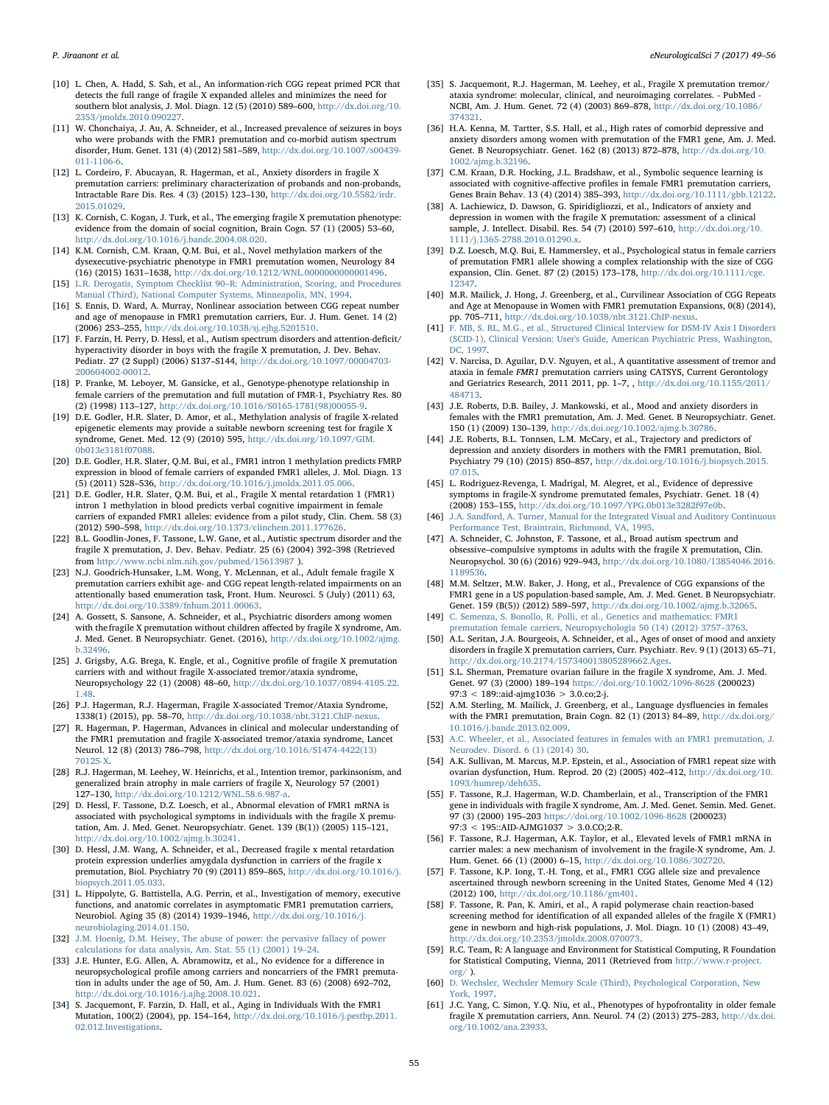- <span id="page-6-18"></span>[10] L. Chen, A. Hadd, S. Sah, et al., An information-rich CGG repeat primed PCR that detects the full range of fragile X expanded alleles and minimizes the need for southern blot analysis, J. Mol. Diagn. 12 (5) (2010) 589–600, [http://dx.doi.org/10.](http://dx.doi.org/10.2353/jmoldx.2010.090227) [2353/jmoldx.2010.090227.](http://dx.doi.org/10.2353/jmoldx.2010.090227)
- [11] W. Chonchaiya, J. Au, A. Schneider, et al., Increased prevalence of seizures in boys who were probands with the FMR1 premutation and co-morbid autism spectrum disorder, Hum. Genet. 131 (4) (2012) 581–589, [http://dx.doi.org/10.1007/s00439-](http://dx.doi.org/10.1007/s00439-011-1106-6) [011-1106-6.](http://dx.doi.org/10.1007/s00439-011-1106-6)
- [12] L. Cordeiro, F. Abucayan, R. Hagerman, et al., Anxiety disorders in fragile X premutation carriers: preliminary characterization of probands and non-probands, Intractable Rare Dis. Res. 4 (3) (2015) 123–130, [http://dx.doi.org/10.5582/irdr.](http://dx.doi.org/10.5582/irdr.2015.01029) [2015.01029.](http://dx.doi.org/10.5582/irdr.2015.01029)
- <span id="page-6-5"></span>[13] K. Cornish, C. Kogan, J. Turk, et al., The emerging fragile X premutation phenotype: evidence from the domain of social cognition, Brain Cogn. 57 (1) (2005) 53–60, [http://dx.doi.org/10.1016/j.bandc.2004.08.020.](http://dx.doi.org/10.1016/j.bandc.2004.08.020)
- <span id="page-6-15"></span>[14] K.M. Cornish, C.M. Kraan, Q.M. Bui, et al., Novel methylation markers of the dysexecutive-psychiatric phenotype in FMR1 premutation women, Neurology 84 (16) (2015) 1631–1638, [http://dx.doi.org/10.1212/WNL.0000000000001496.](http://dx.doi.org/10.1212/WNL.0000000000001496)
- <span id="page-6-21"></span>[15] L.R. Derogatis, Symptom Checklist 90–[R: Administration, Scoring, and Procedures](http://refhub.elsevier.com/S2405-6502(17)30012-6/rf0075) [Manual \(Third\), National Computer Systems, Minneapolis, MN, 1994.](http://refhub.elsevier.com/S2405-6502(17)30012-6/rf0075)
- <span id="page-6-13"></span>[16] S. Ennis, D. Ward, A. Murray, Nonlinear association between CGG repeat number and age of menopause in FMR1 premutation carriers, Eur. J. Hum. Genet. 14 (2) (2006) 253–255, [http://dx.doi.org/10.1038/sj.ejhg.5201510.](http://dx.doi.org/10.1038/sj.ejhg.5201510)
- [17] F. Farzin, H. Perry, D. Hessl, et al., Autism spectrum disorders and attention-deficit/ hyperactivity disorder in boys with the fragile X premutation, J. Dev. Behav. Pediatr. 27 (2 Suppl) (2006) S137–S144, [http://dx.doi.org/10.1097/00004703-](http://dx.doi.org/10.1097/00004703-200604002-00012) [200604002-00012.](http://dx.doi.org/10.1097/00004703-200604002-00012)
- <span id="page-6-6"></span>[18] P. Franke, M. Leboyer, M. Gansicke, et al., Genotype-phenotype relationship in female carriers of the premutation and full mutation of FMR-1, Psychiatry Res. 80 (2) (1998) 113–127, [http://dx.doi.org/10.1016/S0165-1781\(98\)00055-9.](http://dx.doi.org/10.1016/S0165-1781(98)00055-9)
- <span id="page-6-14"></span>[19] D.E. Godler, H.R. Slater, D. Amor, et al., Methylation analysis of fragile X-related epigenetic elements may provide a suitable newborn screening test for fragile X syndrome, Genet. Med. 12 (9) (2010) 595, [http://dx.doi.org/10.1097/GIM.](http://dx.doi.org/10.1097/GIM.0b013e3181f07088) [0b013e3181f07088.](http://dx.doi.org/10.1097/GIM.0b013e3181f07088)
- [20] D.E. Godler, H.R. Slater, Q.M. Bui, et al., FMR1 intron 1 methylation predicts FMRP expression in blood of female carriers of expanded FMR1 alleles, J. Mol. Diagn. 13 (5) (2011) 528–536, [http://dx.doi.org/10.1016/j.jmoldx.2011.05.006.](http://dx.doi.org/10.1016/j.jmoldx.2011.05.006)
- [21] D.E. Godler, H.R. Slater, Q.M. Bui, et al., Fragile X mental retardation 1 (FMR1) intron 1 methylation in blood predicts verbal cognitive impairment in female carriers of expanded FMR1 alleles: evidence from a pilot study, Clin. Chem. 58 (3) (2012) 590–598, [http://dx.doi.org/10.1373/clinchem.2011.177626.](http://dx.doi.org/10.1373/clinchem.2011.177626)
- [22] B.L. Goodlin-Jones, F. Tassone, L.W. Gane, et al., Autistic spectrum disorder and the fragile X premutation, J. Dev. Behav. Pediatr. 25 (6) (2004) 392–398 (Retrieved from <http://www.ncbi.nlm.nih.gov/pubmed/15613987> ).
- <span id="page-6-10"></span>[23] N.J. Goodrich-Hunsaker, L.M. Wong, Y. McLennan, et al., Adult female fragile X premutation carriers exhibit age- and CGG repeat length-related impairments on an attentionally based enumeration task, Front. Hum. Neurosci. 5 (July) (2011) 63, [http://dx.doi.org/10.3389/fnhum.2011.00063.](http://dx.doi.org/10.3389/fnhum.2011.00063)
- <span id="page-6-16"></span>[24] A. Gossett, S. Sansone, A. Schneider, et al., Psychiatric disorders among women with the fragile X premutation without children affected by fragile X syndrome, Am. J. Med. Genet. B Neuropsychiatr. Genet. (2016), [http://dx.doi.org/10.1002/ajmg.](http://dx.doi.org/10.1002/ajmg.b.32496) [b.32496.](http://dx.doi.org/10.1002/ajmg.b.32496)
- [25] J. Grigsby, A.G. Brega, K. Engle, et al., Cognitive profile of fragile X premutation carriers with and without fragile X-associated tremor/ataxia syndrome, Neuropsychology 22 (1) (2008) 48–60, [http://dx.doi.org/10.1037/0894-4105.22.](http://dx.doi.org/10.1037/0894-4105.22.1.48) [1.48.](http://dx.doi.org/10.1037/0894-4105.22.1.48)
- <span id="page-6-4"></span>[26] P.J. Hagerman, R.J. Hagerman, Fragile X-associated Tremor/Ataxia Syndrome, 1338(1) (2015), pp. 58–70, [http://dx.doi.org/10.1038/nbt.3121.ChIP-nexus.](http://dx.doi.org/10.1038/nbt.3121.ChIP-nexus)
- <span id="page-6-2"></span>[27] R. Hagerman, P. Hagerman, Advances in clinical and molecular understanding of the FMR1 premutation and fragile X-associated tremor/ataxia syndrome, Lancet Neurol. 12 (8) (2013) 786–798, [http://dx.doi.org/10.1016/S1474-4422\(13\)](http://dx.doi.org/10.1016/S1474-4422(13)70125-X) [70125-X.](http://dx.doi.org/10.1016/S1474-4422(13)70125-X)
- <span id="page-6-3"></span>[28] R.J. Hagerman, M. Leehey, W. Heinrichs, et al., Intention tremor, parkinsonism, and generalized brain atrophy in male carriers of fragile X, Neurology 57 (2001) 127–130, [http://dx.doi.org/10.1212/WNL.58.6.987-a.](http://dx.doi.org/10.1212/WNL.58.6.987-a)
- <span id="page-6-25"></span>[29] D. Hessl, F. Tassone, D.Z. Loesch, et al., Abnormal elevation of FMR1 mRNA is associated with psychological symptoms in individuals with the fragile X premutation, Am. J. Med. Genet. Neuropsychiatr. Genet. 139 (B(1)) (2005) 115–121, [http://dx.doi.org/10.1002/ajmg.b.30241.](http://dx.doi.org/10.1002/ajmg.b.30241)
- <span id="page-6-28"></span>[30] D. Hessl, J.M. Wang, A. Schneider, et al., Decreased fragile x mental retardation protein expression underlies amygdala dysfunction in carriers of the fragile x premutation, Biol. Psychiatry 70 (9) (2011) 859–865, [http://dx.doi.org/10.1016/j.](http://dx.doi.org/10.1016/j.biopsych.2011.05.033) [biopsych.2011.05.033.](http://dx.doi.org/10.1016/j.biopsych.2011.05.033)
- [31] L. Hippolyte, G. Battistella, A.G. Perrin, et al., Investigation of memory, executive functions, and anatomic correlates in asymptomatic FMR1 premutation carriers, Neurobiol. Aging 35 (8) (2014) 1939–1946, [http://dx.doi.org/10.1016/j.](http://dx.doi.org/10.1016/j.neurobiolaging.2014.01.150) [neurobiolaging.2014.01.150.](http://dx.doi.org/10.1016/j.neurobiolaging.2014.01.150)
- <span id="page-6-24"></span>[32] [J.M. Hoenig, D.M. Heisey, The abuse of power: the pervasive fallacy of power](http://refhub.elsevier.com/S2405-6502(17)30012-6/rf0160) [calculations for data analysis, Am. Stat. 55 \(1\) \(2001\) 19](http://refhub.elsevier.com/S2405-6502(17)30012-6/rf0160)–24.
- <span id="page-6-30"></span>[33] J.E. Hunter, E.G. Allen, A. Abramowitz, et al., No evidence for a difference in neuropsychological profile among carriers and noncarriers of the FMR1 premutation in adults under the age of 50, Am. J. Hum. Genet. 83 (6) (2008) 692–702, [http://dx.doi.org/10.1016/j.ajhg.2008.10.021.](http://dx.doi.org/10.1016/j.ajhg.2008.10.021)
- [34] S. Jacquemont, F. Farzin, D. Hall, et al., Aging in Individuals With the FMR1 Mutation, 100(2) (2004), pp. 154–164, [http://dx.doi.org/10.1016/j.pestbp.2011.](http://dx.doi.org/10.1016/j.pestbp.2011.02.012.Investigations) [02.012.Investigations.](http://dx.doi.org/10.1016/j.pestbp.2011.02.012.Investigations)
- [35] S. Jacquemont, R.J. Hagerman, M. Leehey, et al., Fragile X premutation tremor/ ataxia syndrome: molecular, clinical, and neuroimaging correlates. - PubMed - NCBI, Am. J. Hum. Genet. 72 (4) (2003) 869–878, [http://dx.doi.org/10.1086/](http://dx.doi.org/10.1086/374321) [374321.](http://dx.doi.org/10.1086/374321)
- <span id="page-6-12"></span>[36] H.A. Kenna, M. Tartter, S.S. Hall, et al., High rates of comorbid depressive and anxiety disorders among women with premutation of the FMR1 gene, Am. J. Med. Genet. B Neuropsychiatr. Genet. 162 (8) (2013) 872–878, [http://dx.doi.org/10.](http://dx.doi.org/10.1002/ajmg.b.32196) [1002/ajmg.b.32196.](http://dx.doi.org/10.1002/ajmg.b.32196)
- <span id="page-6-8"></span>[37] C.M. Kraan, D.R. Hocking, J.L. Bradshaw, et al., Symbolic sequence learning is associated with cognitive-affective profiles in female FMR1 premutation carriers Genes Brain Behav. 13 (4) (2014) 385–393, [http://dx.doi.org/10.1111/gbb.12122.](http://dx.doi.org/10.1111/gbb.12122)
- <span id="page-6-9"></span>[38] A. Lachiewicz, D. Dawson, G. Spiridigliozzi, et al., Indicators of anxiety and depression in women with the fragile X premutation: assessment of a clinical sample, J. Intellect. Disabil. Res. 54 (7) (2010) 597–610, [http://dx.doi.org/10.](http://dx.doi.org/10.1111/j.1365-2788.2010.01290.x) [1111/j.1365-2788.2010.01290.x.](http://dx.doi.org/10.1111/j.1365-2788.2010.01290.x)
- <span id="page-6-11"></span>[39] D.Z. Loesch, M.Q. Bui, E. Hammersley, et al., Psychological status in female carriers of premutation FMR1 allele showing a complex relationship with the size of CGG expansion, Clin. Genet. 87 (2) (2015) 173–178, [http://dx.doi.org/10.1111/cge.](http://dx.doi.org/10.1111/cge.12347) [12347.](http://dx.doi.org/10.1111/cge.12347)
- [40] M.R. Mailick, J. Hong, J. Greenberg, et al., Curvilinear Association of CGG Repeats and Age at Menopause in Women with FMR1 premutation Expansions, 0(8) (2014), pp. 705–711, [http://dx.doi.org/10.1038/nbt.3121.ChIP-nexus.](http://dx.doi.org/10.1038/nbt.3121.ChIP-nexus)
- <span id="page-6-22"></span>[41] [F. MB, S. RL, M.G., et al., Structured Clinical Interview for DSM-IV Axis I Disorders](http://refhub.elsevier.com/S2405-6502(17)30012-6/rf0205) [\(SCID-1\), Clinical Version: User's Guide, American Psychiatric Press, Washington,](http://refhub.elsevier.com/S2405-6502(17)30012-6/rf0205) [DC, 1997.](http://refhub.elsevier.com/S2405-6502(17)30012-6/rf0205)
- [42] V. Narcisa, D. Aguilar, D.V. Nguyen, et al., A quantitative assessment of tremor and ataxia in female FMR1 premutation carriers using CATSYS, Current Gerontology and Geriatrics Research, 2011 2011, pp. 1–7, , [http://dx.doi.org/10.1155/2011/](http://dx.doi.org/10.1155/2011/484713) [484713.](http://dx.doi.org/10.1155/2011/484713)
- <span id="page-6-26"></span>[43] J.E. Roberts, D.B. Bailey, J. Mankowski, et al., Mood and anxiety disorders in females with the FMR1 premutation, Am. J. Med. Genet. B Neuropsychiatr. Genet. 150 (1) (2009) 130–139, [http://dx.doi.org/10.1002/ajmg.b.30786.](http://dx.doi.org/10.1002/ajmg.b.30786)
- <span id="page-6-27"></span>[44] J.E. Roberts, B.L. Tonnsen, L.M. McCary, et al., Trajectory and predictors of depression and anxiety disorders in mothers with the FMR1 premutation, Biol. Psychiatry 79 (10) (2015) 850–857, [http://dx.doi.org/10.1016/j.biopsych.2015.](http://dx.doi.org/10.1016/j.biopsych.2015.07.015) [07.015.](http://dx.doi.org/10.1016/j.biopsych.2015.07.015)
- [45] L. Rodriguez-Revenga, I. Madrigal, M. Alegret, et al., Evidence of depressive symptoms in fragile-X syndrome premutated females, Psychiatr. Genet. 18 (4) (2008) 153–155, [http://dx.doi.org/10.1097/YPG.0b013e3282f97e0b.](http://dx.doi.org/10.1097/YPG.0b013e3282f97e0b)
- <span id="page-6-20"></span>[46] [J.A. Sandford, A. Turner, Manual for the Integrated Visual and Auditory Continuous](http://refhub.elsevier.com/S2405-6502(17)30012-6/rf0230) [Performance Test, Braintrain, Richmond, VA, 1995.](http://refhub.elsevier.com/S2405-6502(17)30012-6/rf0230)
- [47] A. Schneider, C. Johnston, F. Tassone, et al., Broad autism spectrum and obsessive–compulsive symptoms in adults with the fragile X premutation, Clin. Neuropsychol. 30 (6) (2016) 929–943, [http://dx.doi.org/10.1080/13854046.2016.](http://dx.doi.org/10.1080/13854046.2016.1189536) [1189536.](http://dx.doi.org/10.1080/13854046.2016.1189536)
- <span id="page-6-1"></span>[48] M.M. Seltzer, M.W. Baker, J. Hong, et al., Prevalence of CGG expansions of the FMR1 gene in a US population-based sample, Am. J. Med. Genet. B Neuropsychiatr. Genet. 159 (B(5)) (2012) 589–597, [http://dx.doi.org/10.1002/ajmg.b.32065.](http://dx.doi.org/10.1002/ajmg.b.32065)
- [49] [C. Semenza, S. Bonollo, R. Polli, et al., Genetics and mathematics: FMR1](http://refhub.elsevier.com/S2405-6502(17)30012-6/rf0245) [premutation female carriers, Neuropsychologia 50 \(14\) \(2012\) 3757](http://refhub.elsevier.com/S2405-6502(17)30012-6/rf0245)–3763.
- <span id="page-6-29"></span>[50] A.L. Seritan, J.A. Bourgeois, A. Schneider, et al., Ages of onset of mood and anxiety disorders in fragile X premutation carriers, Curr. Psychiatr. Rev. 9 (1) (2013) 65–71, [http://dx.doi.org/10.2174/157340013805289662.Ages.](http://dx.doi.org/10.2174/157340013805289662.Ages)
- [51] S.L. Sherman, Premature ovarian failure in the fragile X syndrome, Am. J. Med. Genet. 97 (3) (2000) 189–194 <https://doi.org/10.1002/1096-8628> (200023) 97:3 < 189::aid-ajmg1036 > 3.0.co;2-j.
- [52] A.M. Sterling, M. Mailick, J. Greenberg, et al., Language dysfluencies in females with the FMR1 premutation, Brain Cogn. 82 (1) (2013) 84–89, [http://dx.doi.org/](http://dx.doi.org/10.1016/j.bandc.2013.02.009) [10.1016/j.bandc.2013.02.009.](http://dx.doi.org/10.1016/j.bandc.2013.02.009)
- [53] [A.C. Wheeler, et al., Associated features in females with an FMR1 premutation, J.](http://refhub.elsevier.com/S2405-6502(17)30012-6/rf0265) [Neurodev. Disord. 6 \(1\) \(2014\) 30.](http://refhub.elsevier.com/S2405-6502(17)30012-6/rf0265)
- [54] A.K. Sullivan, M. Marcus, M.P. Epstein, et al., Association of FMR1 repeat size with ovarian dysfunction, Hum. Reprod. 20 (2) (2005) 402–412, [http://dx.doi.org/10.](http://dx.doi.org/10.1093/humrep/deh635) [1093/humrep/deh635.](http://dx.doi.org/10.1093/humrep/deh635)
- <span id="page-6-0"></span>[55] F. Tassone, R.J. Hagerman, W.D. Chamberlain, et al., Transcription of the FMR1 gene in individuals with fragile X syndrome, Am. J. Med. Genet. Semin. Med. Genet. 97 (3) (2000) 195–203 <https://doi.org/10.1002/1096-8628> (200023) 97:3 < 195::AID-AJMG1037 > 3.0.CO;2-R.
- [56] F. Tassone, R.J. Hagerman, A.K. Taylor, et al., Elevated levels of FMR1 mRNA in carrier males: a new mechanism of involvement in the fragile-X syndrome, Am. J. Hum. Genet. 66 (1) (2000) 6–15, [http://dx.doi.org/10.1086/302720.](http://dx.doi.org/10.1086/302720)
- [57] F. Tassone, K.P. Iong, T.-H. Tong, et al., FMR1 CGG allele size and prevalence ascertained through newborn screening in the United States, Genome Med 4 (12) (2012) 100, [http://dx.doi.org/10.1186/gm401.](http://dx.doi.org/10.1186/gm401)
- <span id="page-6-17"></span>[58] F. Tassone, R. Pan, K. Amiri, et al., A rapid polymerase chain reaction-based screening method for identification of all expanded alleles of the fragile X (FMR1) gene in newborn and high-risk populations, J. Mol. Diagn. 10 (1) (2008) 43–49, [http://dx.doi.org/10.2353/jmoldx.2008.070073.](http://dx.doi.org/10.2353/jmoldx.2008.070073)
- <span id="page-6-23"></span>[59] R.C. Team, R: A language and Environment for Statistical Computing, R Foundation for Statistical Computing, Vienna, 2011 (Retrieved from [http://www.r-project.](http://www.r-project.org/)  $\text{org}/$  ).
- <span id="page-6-19"></span>[60] [D. Wechsler, Wechsler Memory Scale \(Third\), Psychological Corporation, New](http://refhub.elsevier.com/S2405-6502(17)30012-6/rf0295) [York, 1997.](http://refhub.elsevier.com/S2405-6502(17)30012-6/rf0295)
- <span id="page-6-7"></span>[61] J.C. Yang, C. Simon, Y.Q. Niu, et al., Phenotypes of hypofrontality in older female fragile X premutation carriers, Ann. Neurol. 74 (2) (2013) 275–283, [http://dx.doi.](http://dx.doi.org/10.1002/ana.23933) [org/10.1002/ana.23933.](http://dx.doi.org/10.1002/ana.23933)